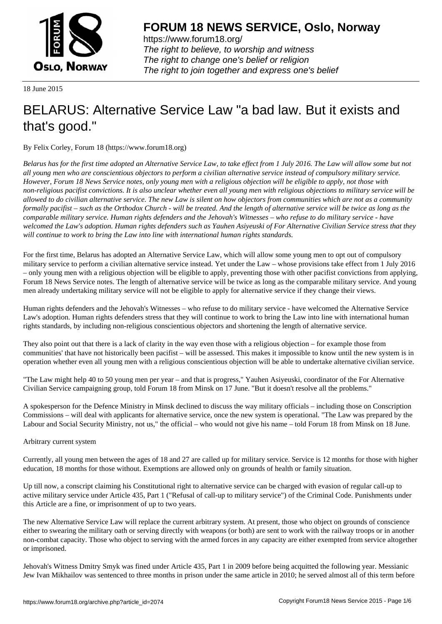

https://www.forum18.org/ The right to believe, to worship and witness The right to change one's belief or religion [The right to join together a](https://www.forum18.org/)nd express one's belief

18 June 2015

# [BELARUS: Alte](https://www.forum18.org)rnative Service Law "a bad law. But it exists and that's good."

By Felix Corley, Forum 18 (https://www.forum18.org)

*Belarus has for the first time adopted an Alternative Service Law, to take effect from 1 July 2016. The Law will allow some but not all young men who are conscientious objectors to perform a civilian alternative service instead of compulsory military service. However, Forum 18 News Service notes, only young men with a religious objection will be eligible to apply, not those with non-religious pacifist convictions. It is also unclear whether even all young men with religious objections to military service will be allowed to do civilian alternative service. The new Law is silent on how objectors from communities which are not as a community formally pacifist – such as the Orthodox Church - will be treated. And the length of alternative service will be twice as long as the comparable military service. Human rights defenders and the Jehovah's Witnesses – who refuse to do military service - have welcomed the Law's adoption. Human rights defenders such as Yauhen Asiyeuski of For Alternative Civilian Service stress that they will continue to work to bring the Law into line with international human rights standards.*

For the first time, Belarus has adopted an Alternative Service Law, which will allow some young men to opt out of compulsory military service to perform a civilian alternative service instead. Yet under the Law – whose provisions take effect from 1 July 2016 – only young men with a religious objection will be eligible to apply, preventing those with other pacifist convictions from applying, Forum 18 News Service notes. The length of alternative service will be twice as long as the comparable military service. And young men already undertaking military service will not be eligible to apply for alternative service if they change their views.

Human rights defenders and the Jehovah's Witnesses – who refuse to do military service - have welcomed the Alternative Service Law's adoption. Human rights defenders stress that they will continue to work to bring the Law into line with international human rights standards, by including non-religious conscientious objectors and shortening the length of alternative service.

They also point out that there is a lack of clarity in the way even those with a religious objection – for example those from communities' that have not historically been pacifist – will be assessed. This makes it impossible to know until the new system is in operation whether even all young men with a religious conscientious objection will be able to undertake alternative civilian service.

"The Law might help 40 to 50 young men per year – and that is progress," Yauhen Asiyeuski, coordinator of the For Alternative Civilian Service campaigning group, told Forum 18 from Minsk on 17 June. "But it doesn't resolve all the problems."

A spokesperson for the Defence Ministry in Minsk declined to discuss the way military officials – including those on Conscription Commissions – will deal with applicants for alternative service, once the new system is operational. "The Law was prepared by the Labour and Social Security Ministry, not us," the official – who would not give his name – told Forum 18 from Minsk on 18 June.

Arbitrary current system

Currently, all young men between the ages of 18 and 27 are called up for military service. Service is 12 months for those with higher education, 18 months for those without. Exemptions are allowed only on grounds of health or family situation.

Up till now, a conscript claiming his Constitutional right to alternative service can be charged with evasion of regular call-up to active military service under Article 435, Part 1 ("Refusal of call-up to military service") of the Criminal Code. Punishments under this Article are a fine, or imprisonment of up to two years.

The new Alternative Service Law will replace the current arbitrary system. At present, those who object on grounds of conscience either to swearing the military oath or serving directly with weapons (or both) are sent to work with the railway troops or in another non-combat capacity. Those who object to serving with the armed forces in any capacity are either exempted from service altogether or imprisoned.

Jehovah's Witness Dmitry Smyk was fined under Article 435, Part 1 in 2009 before being acquitted the following year. Messianic Jew Ivan Mikhailov was sentenced to three months in prison under the same article in 2010; he served almost all of this term before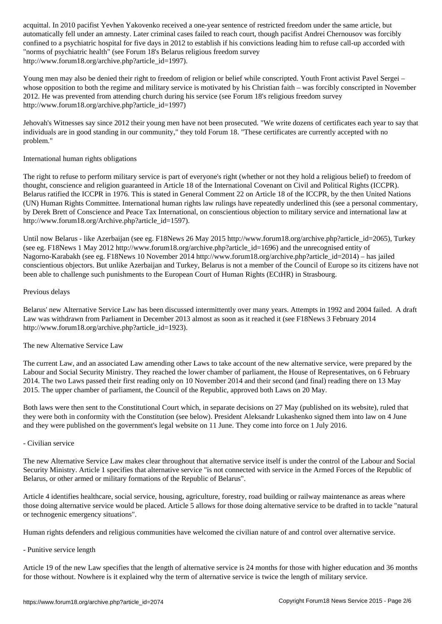automatically fell under an amnesty. Later criminal cases failed to reach court, though pacifist Andrei Chernousov was forcibly confined to a psychiatric hospital for five days in 2012 to establish if his convictions leading him to refuse call-up accorded with "norms of psychiatric health" (see Forum 18's Belarus religious freedom survey http://www.forum18.org/archive.php?article\_id=1997).

Young men may also be denied their right to freedom of religion or belief while conscripted. Youth Front activist Pavel Sergei – whose opposition to both the regime and military service is motivated by his Christian faith – was forcibly conscripted in November 2012. He was prevented from attending church during his service (see Forum 18's religious freedom survey http://www.forum18.org/archive.php?article\_id=1997)

Jehovah's Witnesses say since 2012 their young men have not been prosecuted. "We write dozens of certificates each year to say that individuals are in good standing in our community," they told Forum 18. "These certificates are currently accepted with no problem."

## International human rights obligations

The right to refuse to perform military service is part of everyone's right (whether or not they hold a religious belief) to freedom of thought, conscience and religion guaranteed in Article 18 of the International Covenant on Civil and Political Rights (ICCPR). Belarus ratified the ICCPR in 1976. This is stated in General Comment 22 on Article 18 of the ICCPR, by the then United Nations (UN) Human Rights Committee. International human rights law rulings have repeatedly underlined this (see a personal commentary, by Derek Brett of Conscience and Peace Tax International, on conscientious objection to military service and international law at http://www.forum18.org/Archive.php?article\_id=1597).

Until now Belarus - like Azerbaijan (see eg. F18News 26 May 2015 http://www.forum18.org/archive.php?article\_id=2065), Turkey (see eg. F18News 1 May 2012 http://www.forum18.org/archive.php?article\_id=1696) and the unrecognised entity of Nagorno-Karabakh (see eg. F18News 10 November 2014 http://www.forum18.org/archive.php?article\_id=2014) – has jailed conscientious objectors. But unlike Azerbaijan and Turkey, Belarus is not a member of the Council of Europe so its citizens have not been able to challenge such punishments to the European Court of Human Rights (ECtHR) in Strasbourg.

## Previous delays

Belarus' new Alternative Service Law has been discussed intermittently over many years. Attempts in 1992 and 2004 failed. A draft Law was withdrawn from Parliament in December 2013 almost as soon as it reached it (see F18News 3 February 2014 http://www.forum18.org/archive.php?article\_id=1923).

### The new Alternative Service Law

The current Law, and an associated Law amending other Laws to take account of the new alternative service, were prepared by the Labour and Social Security Ministry. They reached the lower chamber of parliament, the House of Representatives, on 6 February 2014. The two Laws passed their first reading only on 10 November 2014 and their second (and final) reading there on 13 May 2015. The upper chamber of parliament, the Council of the Republic, approved both Laws on 20 May.

Both laws were then sent to the Constitutional Court which, in separate decisions on 27 May (published on its website), ruled that they were both in conformity with the Constitution (see below). President Aleksandr Lukashenko signed them into law on 4 June and they were published on the government's legal website on 11 June. They come into force on 1 July 2016.

### - Civilian service

The new Alternative Service Law makes clear throughout that alternative service itself is under the control of the Labour and Social Security Ministry. Article 1 specifies that alternative service "is not connected with service in the Armed Forces of the Republic of Belarus, or other armed or military formations of the Republic of Belarus".

Article 4 identifies healthcare, social service, housing, agriculture, forestry, road building or railway maintenance as areas where those doing alternative service would be placed. Article 5 allows for those doing alternative service to be drafted in to tackle "natural or technogenic emergency situations".

Human rights defenders and religious communities have welcomed the civilian nature of and control over alternative service.

- Punitive service length

Article 19 of the new Law specifies that the length of alternative service is 24 months for those with higher education and 36 months for those without. Nowhere is it explained why the term of alternative service is twice the length of military service.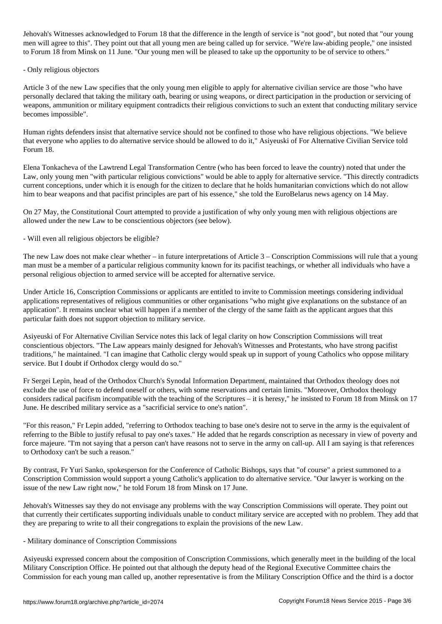Jehovah's Witnesses acknowledged to Forum 18 that the difference in the length of service is "not good", but noted that "our young men will agree to this". They point out that all young men are being called up for service. "We're law-abiding people," one insisted to Forum 18 from Minsk on 11 June. "Our young men will be pleased to take up the opportunity to be of service to others."

#### - Only religious objectors

Article 3 of the new Law specifies that the only young men eligible to apply for alternative civilian service are those "who have personally declared that taking the military oath, bearing or using weapons, or direct participation in the production or servicing of weapons, ammunition or military equipment contradicts their religious convictions to such an extent that conducting military service becomes impossible".

Human rights defenders insist that alternative service should not be confined to those who have religious objections. "We believe that everyone who applies to do alternative service should be allowed to do it," Asiyeuski of For Alternative Civilian Service told Forum 18.

Elena Tonkacheva of the Lawtrend Legal Transformation Centre (who has been forced to leave the country) noted that under the Law, only young men "with particular religious convictions" would be able to apply for alternative service. "This directly contradicts current conceptions, under which it is enough for the citizen to declare that he holds humanitarian convictions which do not allow him to bear weapons and that pacifist principles are part of his essence," she told the EuroBelarus news agency on 14 May.

On 27 May, the Constitutional Court attempted to provide a justification of why only young men with religious objections are allowed under the new Law to be conscientious objectors (see below).

- Will even all religious objectors be eligible?

The new Law does not make clear whether – in future interpretations of Article 3 – Conscription Commissions will rule that a young man must be a member of a particular religious community known for its pacifist teachings, or whether all individuals who have a personal religious objection to armed service will be accepted for alternative service.

Under Article 16, Conscription Commissions or applicants are entitled to invite to Commission meetings considering individual applications representatives of religious communities or other organisations "who might give explanations on the substance of an application". It remains unclear what will happen if a member of the clergy of the same faith as the applicant argues that this particular faith does not support objection to military service.

Asiyeuski of For Alternative Civilian Service notes this lack of legal clarity on how Conscription Commissions will treat conscientious objectors. "The Law appears mainly designed for Jehovah's Witnesses and Protestants, who have strong pacifist traditions," he maintained. "I can imagine that Catholic clergy would speak up in support of young Catholics who oppose military service. But I doubt if Orthodox clergy would do so."

Fr Sergei Lepin, head of the Orthodox Church's Synodal Information Department, maintained that Orthodox theology does not exclude the use of force to defend oneself or others, with some reservations and certain limits. "Moreover, Orthodox theology considers radical pacifism incompatible with the teaching of the Scriptures – it is heresy," he insisted to Forum 18 from Minsk on 17 June. He described military service as a "sacrificial service to one's nation".

"For this reason," Fr Lepin added, "referring to Orthodox teaching to base one's desire not to serve in the army is the equivalent of referring to the Bible to justify refusal to pay one's taxes." He added that he regards conscription as necessary in view of poverty and force majeure. "I'm not saying that a person can't have reasons not to serve in the army on call-up. All I am saying is that references to Orthodoxy can't be such a reason."

By contrast, Fr Yuri Sanko, spokesperson for the Conference of Catholic Bishops, says that "of course" a priest summoned to a Conscription Commission would support a young Catholic's application to do alternative service. "Our lawyer is working on the issue of the new Law right now," he told Forum 18 from Minsk on 17 June.

Jehovah's Witnesses say they do not envisage any problems with the way Conscription Commissions will operate. They point out that currently their certificates supporting individuals unable to conduct military service are accepted with no problem. They add that they are preparing to write to all their congregations to explain the provisions of the new Law.

### - Military dominance of Conscription Commissions

Asiyeuski expressed concern about the composition of Conscription Commissions, which generally meet in the building of the local Military Conscription Office. He pointed out that although the deputy head of the Regional Executive Committee chairs the Commission for each young man called up, another representative is from the Military Conscription Office and the third is a doctor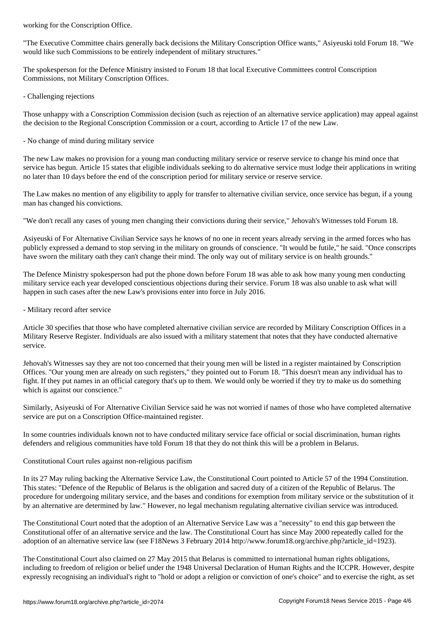"The Executive Committee chairs generally back decisions the Military Conscription Office wants," Asiyeuski told Forum 18. "We would like such Commissions to be entirely independent of military structures."

The spokesperson for the Defence Ministry insisted to Forum 18 that local Executive Committees control Conscription Commissions, not Military Conscription Offices.

- Challenging rejections

Those unhappy with a Conscription Commission decision (such as rejection of an alternative service application) may appeal against the decision to the Regional Conscription Commission or a court, according to Article 17 of the new Law.

- No change of mind during military service

The new Law makes no provision for a young man conducting military service or reserve service to change his mind once that service has begun. Article 15 states that eligible individuals seeking to do alternative service must lodge their applications in writing no later than 10 days before the end of the conscription period for military service or reserve service.

The Law makes no mention of any eligibility to apply for transfer to alternative civilian service, once service has begun, if a young man has changed his convictions.

"We don't recall any cases of young men changing their convictions during their service," Jehovah's Witnesses told Forum 18.

Asiyeuski of For Alternative Civilian Service says he knows of no one in recent years already serving in the armed forces who has publicly expressed a demand to stop serving in the military on grounds of conscience. "It would be futile," he said. "Once conscripts have sworn the military oath they can't change their mind. The only way out of military service is on health grounds."

The Defence Ministry spokesperson had put the phone down before Forum 18 was able to ask how many young men conducting military service each year developed conscientious objections during their service. Forum 18 was also unable to ask what will happen in such cases after the new Law's provisions enter into force in July 2016.

- Military record after service

Article 30 specifies that those who have completed alternative civilian service are recorded by Military Conscription Offices in a Military Reserve Register. Individuals are also issued with a military statement that notes that they have conducted alternative service.

Jehovah's Witnesses say they are not too concerned that their young men will be listed in a register maintained by Conscription Offices. "Our young men are already on such registers," they pointed out to Forum 18. "This doesn't mean any individual has to fight. If they put names in an official category that's up to them. We would only be worried if they try to make us do something which is against our conscience."

Similarly, Asiyeuski of For Alternative Civilian Service said he was not worried if names of those who have completed alternative service are put on a Conscription Office-maintained register.

In some countries individuals known not to have conducted military service face official or social discrimination, human rights defenders and religious communities have told Forum 18 that they do not think this will be a problem in Belarus.

### Constitutional Court rules against non-religious pacifism

In its 27 May ruling backing the Alternative Service Law, the Constitutional Court pointed to Article 57 of the 1994 Constitution. This states: "Defence of the Republic of Belarus is the obligation and sacred duty of a citizen of the Republic of Belarus. The procedure for undergoing military service, and the bases and conditions for exemption from military service or the substitution of it by an alternative are determined by law." However, no legal mechanism regulating alternative civilian service was introduced.

The Constitutional Court noted that the adoption of an Alternative Service Law was a "necessity" to end this gap between the Constitutional offer of an alternative service and the law. The Constitutional Court has since May 2000 repeatedly called for the adoption of an alternative service law (see F18News 3 February 2014 http://www.forum18.org/archive.php?article\_id=1923).

The Constitutional Court also claimed on 27 May 2015 that Belarus is committed to international human rights obligations, including to freedom of religion or belief under the 1948 Universal Declaration of Human Rights and the ICCPR. However, despite expressly recognising an individual's right to "hold or adopt a religion or conviction of one's choice" and to exercise the right, as set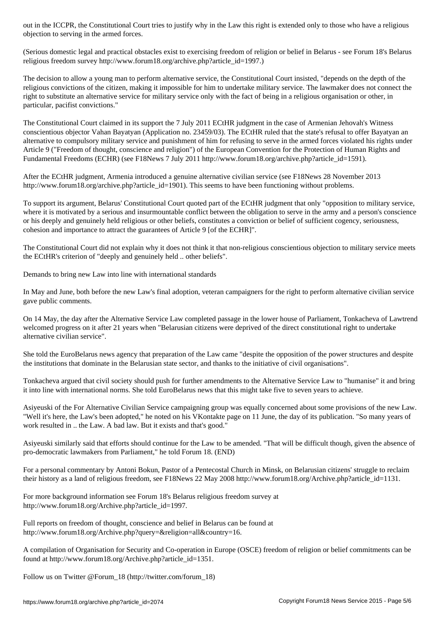objection to serving in the armed forces.

(Serious domestic legal and practical obstacles exist to exercising freedom of religion or belief in Belarus - see Forum 18's Belarus religious freedom survey http://www.forum18.org/archive.php?article\_id=1997.)

The decision to allow a young man to perform alternative service, the Constitutional Court insisted, "depends on the depth of the religious convictions of the citizen, making it impossible for him to undertake military service. The lawmaker does not connect the right to substitute an alternative service for military service only with the fact of being in a religious organisation or other, in particular, pacifist convictions."

The Constitutional Court claimed in its support the 7 July 2011 ECtHR judgment in the case of Armenian Jehovah's Witness conscientious objector Vahan Bayatyan (Application no. 23459/03). The ECtHR ruled that the state's refusal to offer Bayatyan an alternative to compulsory military service and punishment of him for refusing to serve in the armed forces violated his rights under Article 9 ("Freedom of thought, conscience and religion") of the European Convention for the Protection of Human Rights and Fundamental Freedoms (ECHR) (see F18News 7 July 2011 http://www.forum18.org/archive.php?article\_id=1591).

After the ECtHR judgment, Armenia introduced a genuine alternative civilian service (see F18News 28 November 2013 http://www.forum18.org/archive.php?article\_id=1901). This seems to have been functioning without problems.

To support its argument, Belarus' Constitutional Court quoted part of the ECtHR judgment that only "opposition to military service, where it is motivated by a serious and insurmountable conflict between the obligation to serve in the army and a person's conscience or his deeply and genuinely held religious or other beliefs, constitutes a conviction or belief of sufficient cogency, seriousness, cohesion and importance to attract the guarantees of Article 9 [of the ECHR]".

The Constitutional Court did not explain why it does not think it that non-religious conscientious objection to military service meets the ECtHR's criterion of "deeply and genuinely held .. other beliefs".

Demands to bring new Law into line with international standards

In May and June, both before the new Law's final adoption, veteran campaigners for the right to perform alternative civilian service gave public comments.

On 14 May, the day after the Alternative Service Law completed passage in the lower house of Parliament, Tonkacheva of Lawtrend welcomed progress on it after 21 years when "Belarusian citizens were deprived of the direct constitutional right to undertake alternative civilian service".

She told the EuroBelarus news agency that preparation of the Law came "despite the opposition of the power structures and despite the institutions that dominate in the Belarusian state sector, and thanks to the initiative of civil organisations".

Tonkacheva argued that civil society should push for further amendments to the Alternative Service Law to "humanise" it and bring it into line with international norms. She told EuroBelarus news that this might take five to seven years to achieve.

Asiyeuski of the For Alternative Civilian Service campaigning group was equally concerned about some provisions of the new Law. "Well it's here, the Law's been adopted," he noted on his VKontakte page on 11 June, the day of its publication. "So many years of work resulted in .. the Law. A bad law. But it exists and that's good."

Asiyeuski similarly said that efforts should continue for the Law to be amended. "That will be difficult though, given the absence of pro-democratic lawmakers from Parliament," he told Forum 18. (END)

For a personal commentary by Antoni Bokun, Pastor of a Pentecostal Church in Minsk, on Belarusian citizens' struggle to reclaim their history as a land of religious freedom, see F18News 22 May 2008 http://www.forum18.org/Archive.php?article\_id=1131.

For more background information see Forum 18's Belarus religious freedom survey at http://www.forum18.org/Archive.php?article\_id=1997.

Full reports on freedom of thought, conscience and belief in Belarus can be found at http://www.forum18.org/Archive.php?query=&religion=all&country=16.

A compilation of Organisation for Security and Co-operation in Europe (OSCE) freedom of religion or belief commitments can be found at http://www.forum18.org/Archive.php?article\_id=1351.

Follow us on Twitter @Forum\_18 (http://twitter.com/forum\_18)